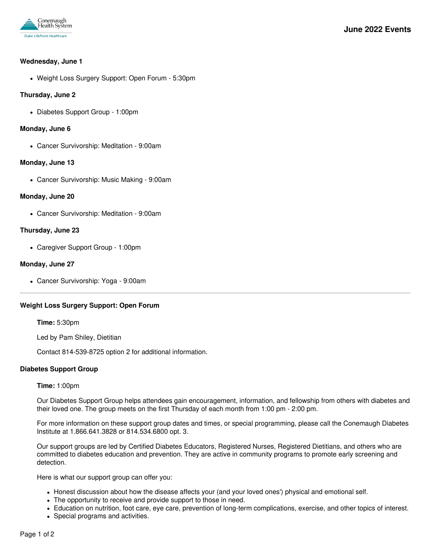

#### **Wednesday, June 1**

Weight Loss Surgery Support: Open Forum - 5:30pm

### **Thursday, June 2**

Diabetes Support Group - 1:00pm

### **Monday, June 6**

Cancer Survivorship: Meditation - 9:00am

### **Monday, June 13**

Cancer Survivorship: Music Making - 9:00am

# **Monday, June 20**

Cancer Survivorship: Meditation - 9:00am

# **Thursday, June 23**

Caregiver Support Group - 1:00pm

# **Monday, June 27**

Cancer Survivorship: Yoga - 9:00am

# **Weight Loss Surgery Support: Open Forum**

**Time:** 5:30pm

Led by Pam Shiley, Dietitian

Contact 814-539-8725 option 2 for additional information.

### **Diabetes Support Group**

### **Time:** 1:00pm

Our Diabetes Support Group helps attendees gain encouragement, information, and fellowship from others with diabetes and their loved one. The group meets on the first Thursday of each month from 1:00 pm - 2:00 pm.

For more information on these support group dates and times, or special programming, please call the Conemaugh Diabetes Institute at 1.866.641.3828 or 814.534.6800 opt. 3.

Our support groups are led by Certified Diabetes Educators, Registered Nurses, Registered Dietitians, and others who are committed to diabetes education and prevention. They are active in community programs to promote early screening and detection.

Here is what our support group can offer you:

- Honest discussion about how the disease affects your (and your loved ones') physical and emotional self.
- The opportunity to receive and provide support to those in need.
- Education on nutrition, foot care, eye care, prevention of long-term complications, exercise, and other topics of interest.
- Special programs and activities.